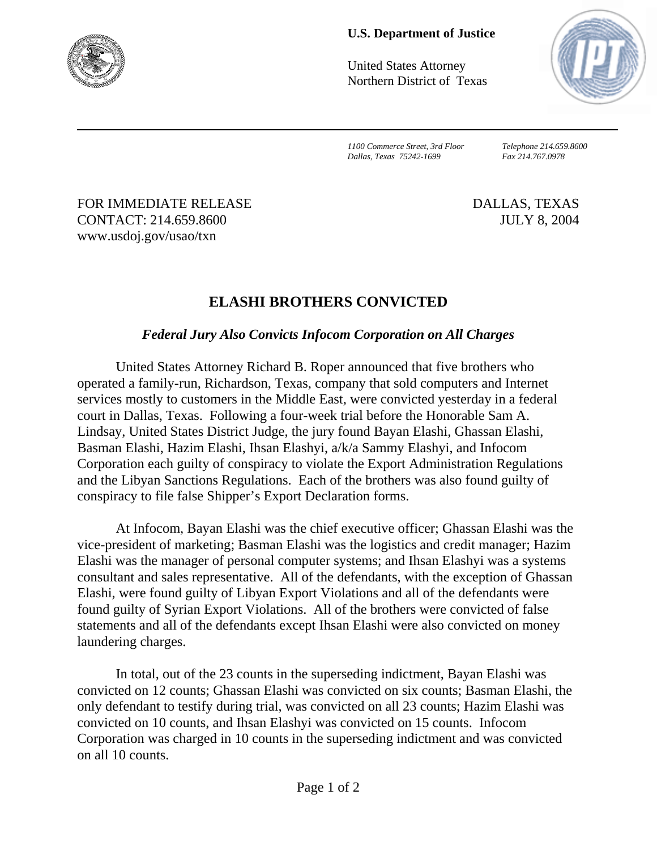

## **U.S. Department of Justice**

United States Attorney Northern District of Texas



*1100 Commerce Street, 3rd Floor Telephone 214.659.8600 Dallas, Texas 75242-1699 Fax 214.767.0978*

FOR IMMEDIATE RELEASE DALLAS, TEXAS CONTACT: 214.659.8600 JULY 8, 2004 www.usdoj.gov/usao/txn

## **ELASHI BROTHERS CONVICTED**

## *Federal Jury Also Convicts Infocom Corporation on All Charges*

United States Attorney Richard B. Roper announced that five brothers who operated a family-run, Richardson, Texas, company that sold computers and Internet services mostly to customers in the Middle East, were convicted yesterday in a federal court in Dallas, Texas. Following a four-week trial before the Honorable Sam A. Lindsay, United States District Judge, the jury found Bayan Elashi, Ghassan Elashi, Basman Elashi, Hazim Elashi, Ihsan Elashyi, a/k/a Sammy Elashyi, and Infocom Corporation each guilty of conspiracy to violate the Export Administration Regulations and the Libyan Sanctions Regulations. Each of the brothers was also found guilty of conspiracy to file false Shipper's Export Declaration forms.

At Infocom, Bayan Elashi was the chief executive officer; Ghassan Elashi was the vice-president of marketing; Basman Elashi was the logistics and credit manager; Hazim Elashi was the manager of personal computer systems; and Ihsan Elashyi was a systems consultant and sales representative. All of the defendants, with the exception of Ghassan Elashi, were found guilty of Libyan Export Violations and all of the defendants were found guilty of Syrian Export Violations. All of the brothers were convicted of false statements and all of the defendants except Ihsan Elashi were also convicted on money laundering charges.

In total, out of the 23 counts in the superseding indictment, Bayan Elashi was convicted on 12 counts; Ghassan Elashi was convicted on six counts; Basman Elashi, the only defendant to testify during trial, was convicted on all 23 counts; Hazim Elashi was convicted on 10 counts, and Ihsan Elashyi was convicted on 15 counts. Infocom Corporation was charged in 10 counts in the superseding indictment and was convicted on all 10 counts.